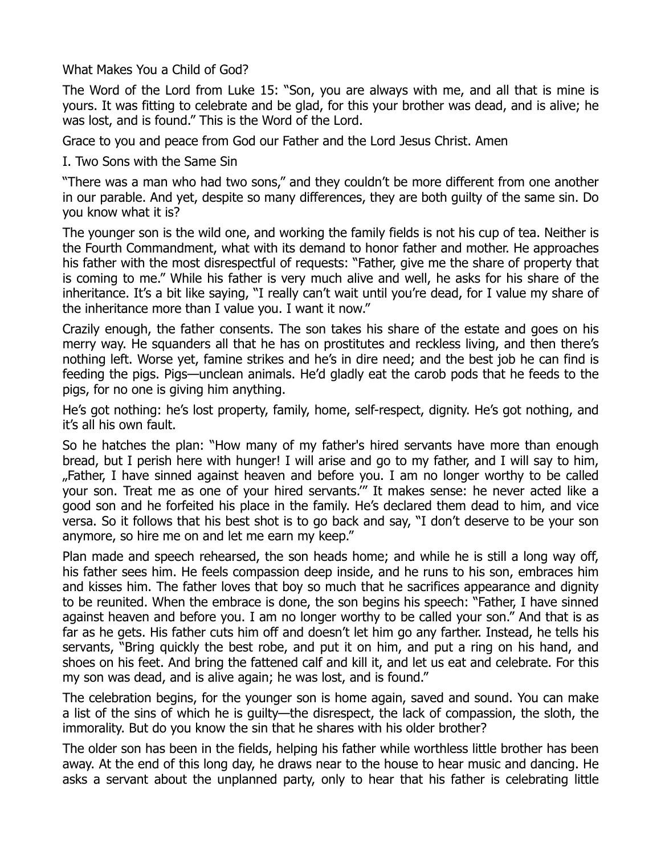What Makes You a Child of God?

The Word of the Lord from Luke 15: "Son, you are always with me, and all that is mine is yours. It was fitting to celebrate and be glad, for this your brother was dead, and is alive; he was lost, and is found." This is the Word of the Lord.

Grace to you and peace from God our Father and the Lord Jesus Christ. Amen

I. Two Sons with the Same Sin

"There was a man who had two sons," and they couldn't be more different from one another in our parable. And yet, despite so many differences, they are both guilty of the same sin. Do you know what it is?

The younger son is the wild one, and working the family fields is not his cup of tea. Neither is the Fourth Commandment, what with its demand to honor father and mother. He approaches his father with the most disrespectful of requests: "Father, give me the share of property that is coming to me." While his father is very much alive and well, he asks for his share of the inheritance. It's a bit like saying, "I really can't wait until you're dead, for I value my share of the inheritance more than I value you. I want it now."

Crazily enough, the father consents. The son takes his share of the estate and goes on his merry way. He squanders all that he has on prostitutes and reckless living, and then there's nothing left. Worse yet, famine strikes and he's in dire need; and the best job he can find is feeding the pigs. Pigs—unclean animals. He'd gladly eat the carob pods that he feeds to the pigs, for no one is giving him anything.

He's got nothing: he's lost property, family, home, self-respect, dignity. He's got nothing, and it's all his own fault.

So he hatches the plan: "How many of my father's hired servants have more than enough bread, but I perish here with hunger! I will arise and go to my father, and I will say to him, "Father, I have sinned against heaven and before you. I am no longer worthy to be called your son. Treat me as one of your hired servants.'" It makes sense: he never acted like a good son and he forfeited his place in the family. He's declared them dead to him, and vice versa. So it follows that his best shot is to go back and say, "I don't deserve to be your son anymore, so hire me on and let me earn my keep."

Plan made and speech rehearsed, the son heads home; and while he is still a long way off, his father sees him. He feels compassion deep inside, and he runs to his son, embraces him and kisses him. The father loves that boy so much that he sacrifices appearance and dignity to be reunited. When the embrace is done, the son begins his speech: "Father, I have sinned against heaven and before you. I am no longer worthy to be called your son." And that is as far as he gets. His father cuts him off and doesn't let him go any farther. Instead, he tells his servants, "Bring quickly the best robe, and put it on him, and put a ring on his hand, and shoes on his feet. And bring the fattened calf and kill it, and let us eat and celebrate. For this my son was dead, and is alive again; he was lost, and is found."

The celebration begins, for the younger son is home again, saved and sound. You can make a list of the sins of which he is guilty—the disrespect, the lack of compassion, the sloth, the immorality. But do you know the sin that he shares with his older brother?

The older son has been in the fields, helping his father while worthless little brother has been away. At the end of this long day, he draws near to the house to hear music and dancing. He asks a servant about the unplanned party, only to hear that his father is celebrating little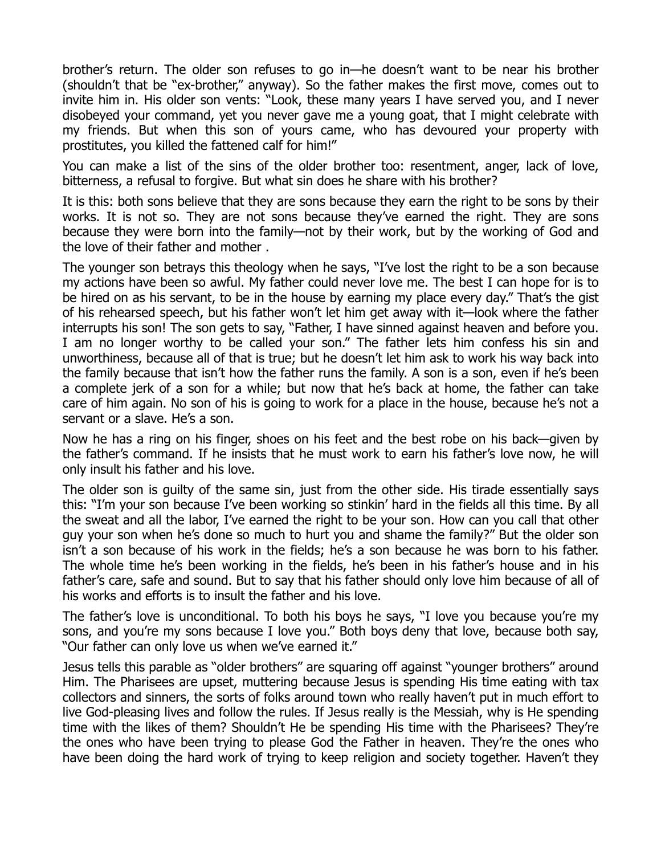brother's return. The older son refuses to go in—he doesn't want to be near his brother (shouldn't that be "ex-brother," anyway). So the father makes the first move, comes out to invite him in. His older son vents: "Look, these many years I have served you, and I never disobeyed your command, yet you never gave me a young goat, that I might celebrate with my friends. But when this son of yours came, who has devoured your property with prostitutes, you killed the fattened calf for him!"

You can make a list of the sins of the older brother too: resentment, anger, lack of love, bitterness, a refusal to forgive. But what sin does he share with his brother?

It is this: both sons believe that they are sons because they earn the right to be sons by their works. It is not so. They are not sons because they've earned the right. They are sons because they were born into the family—not by their work, but by the working of God and the love of their father and mother .

The younger son betrays this theology when he says, "I've lost the right to be a son because my actions have been so awful. My father could never love me. The best I can hope for is to be hired on as his servant, to be in the house by earning my place every day." That's the gist of his rehearsed speech, but his father won't let him get away with it—look where the father interrupts his son! The son gets to say, "Father, I have sinned against heaven and before you. I am no longer worthy to be called your son." The father lets him confess his sin and unworthiness, because all of that is true; but he doesn't let him ask to work his way back into the family because that isn't how the father runs the family. A son is a son, even if he's been a complete jerk of a son for a while; but now that he's back at home, the father can take care of him again. No son of his is going to work for a place in the house, because he's not a servant or a slave. He's a son.

Now he has a ring on his finger, shoes on his feet and the best robe on his back—given by the father's command. If he insists that he must work to earn his father's love now, he will only insult his father and his love.

The older son is guilty of the same sin, just from the other side. His tirade essentially says this: "I'm your son because I've been working so stinkin' hard in the fields all this time. By all the sweat and all the labor, I've earned the right to be your son. How can you call that other guy your son when he's done so much to hurt you and shame the family?" But the older son isn't a son because of his work in the fields; he's a son because he was born to his father. The whole time he's been working in the fields, he's been in his father's house and in his father's care, safe and sound. But to say that his father should only love him because of all of his works and efforts is to insult the father and his love.

The father's love is unconditional. To both his boys he says, "I love you because you're my sons, and you're my sons because I love you." Both boys deny that love, because both say, "Our father can only love us when we've earned it."

Jesus tells this parable as "older brothers" are squaring off against "younger brothers" around Him. The Pharisees are upset, muttering because Jesus is spending His time eating with tax collectors and sinners, the sorts of folks around town who really haven't put in much effort to live God-pleasing lives and follow the rules. If Jesus really is the Messiah, why is He spending time with the likes of them? Shouldn't He be spending His time with the Pharisees? They're the ones who have been trying to please God the Father in heaven. They're the ones who have been doing the hard work of trying to keep religion and society together. Haven't they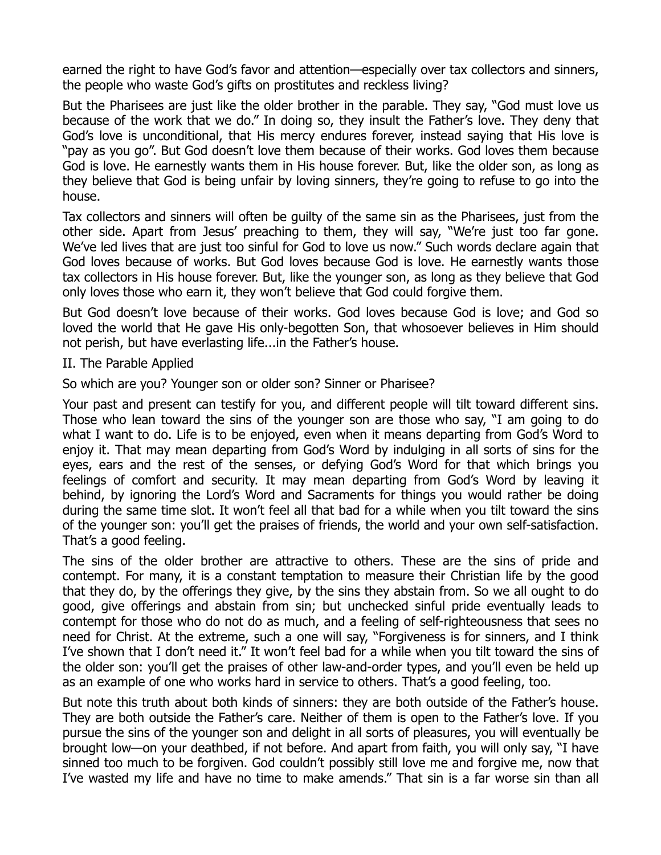earned the right to have God's favor and attention—especially over tax collectors and sinners, the people who waste God's gifts on prostitutes and reckless living?

But the Pharisees are just like the older brother in the parable. They say, "God must love us because of the work that we do." In doing so, they insult the Father's love. They deny that God's love is unconditional, that His mercy endures forever, instead saying that His love is "pay as you go". But God doesn't love them because of their works. God loves them because God is love. He earnestly wants them in His house forever. But, like the older son, as long as they believe that God is being unfair by loving sinners, they're going to refuse to go into the house.

Tax collectors and sinners will often be guilty of the same sin as the Pharisees, just from the other side. Apart from Jesus' preaching to them, they will say, "We're just too far gone. We've led lives that are just too sinful for God to love us now." Such words declare again that God loves because of works. But God loves because God is love. He earnestly wants those tax collectors in His house forever. But, like the younger son, as long as they believe that God only loves those who earn it, they won't believe that God could forgive them.

But God doesn't love because of their works. God loves because God is love; and God so loved the world that He gave His only-begotten Son, that whosoever believes in Him should not perish, but have everlasting life...in the Father's house.

II. The Parable Applied

So which are you? Younger son or older son? Sinner or Pharisee?

Your past and present can testify for you, and different people will tilt toward different sins. Those who lean toward the sins of the younger son are those who say, "I am going to do what I want to do. Life is to be enjoyed, even when it means departing from God's Word to enjoy it. That may mean departing from God's Word by indulging in all sorts of sins for the eyes, ears and the rest of the senses, or defying God's Word for that which brings you feelings of comfort and security. It may mean departing from God's Word by leaving it behind, by ignoring the Lord's Word and Sacraments for things you would rather be doing during the same time slot. It won't feel all that bad for a while when you tilt toward the sins of the younger son: you'll get the praises of friends, the world and your own self-satisfaction. That's a good feeling.

The sins of the older brother are attractive to others. These are the sins of pride and contempt. For many, it is a constant temptation to measure their Christian life by the good that they do, by the offerings they give, by the sins they abstain from. So we all ought to do good, give offerings and abstain from sin; but unchecked sinful pride eventually leads to contempt for those who do not do as much, and a feeling of self-righteousness that sees no need for Christ. At the extreme, such a one will say, "Forgiveness is for sinners, and I think I've shown that I don't need it." It won't feel bad for a while when you tilt toward the sins of the older son: you'll get the praises of other law-and-order types, and you'll even be held up as an example of one who works hard in service to others. That's a good feeling, too.

But note this truth about both kinds of sinners: they are both outside of the Father's house. They are both outside the Father's care. Neither of them is open to the Father's love. If you pursue the sins of the younger son and delight in all sorts of pleasures, you will eventually be brought low—on your deathbed, if not before. And apart from faith, you will only say, "I have sinned too much to be forgiven. God couldn't possibly still love me and forgive me, now that I've wasted my life and have no time to make amends." That sin is a far worse sin than all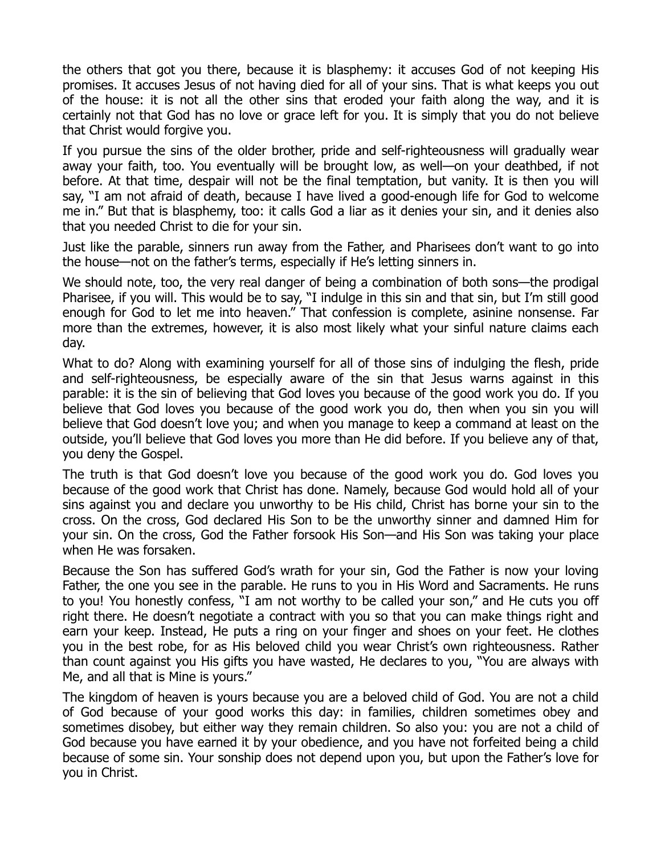the others that got you there, because it is blasphemy: it accuses God of not keeping His promises. It accuses Jesus of not having died for all of your sins. That is what keeps you out of the house: it is not all the other sins that eroded your faith along the way, and it is certainly not that God has no love or grace left for you. It is simply that you do not believe that Christ would forgive you.

If you pursue the sins of the older brother, pride and self-righteousness will gradually wear away your faith, too. You eventually will be brought low, as well—on your deathbed, if not before. At that time, despair will not be the final temptation, but vanity. It is then you will say, "I am not afraid of death, because I have lived a good-enough life for God to welcome me in." But that is blasphemy, too: it calls God a liar as it denies your sin, and it denies also that you needed Christ to die for your sin.

Just like the parable, sinners run away from the Father, and Pharisees don't want to go into the house—not on the father's terms, especially if He's letting sinners in.

We should note, too, the very real danger of being a combination of both sons—the prodigal Pharisee, if you will. This would be to say, "I indulge in this sin and that sin, but I'm still good enough for God to let me into heaven." That confession is complete, asinine nonsense. Far more than the extremes, however, it is also most likely what your sinful nature claims each day.

What to do? Along with examining yourself for all of those sins of indulging the flesh, pride and self-righteousness, be especially aware of the sin that Jesus warns against in this parable: it is the sin of believing that God loves you because of the good work you do. If you believe that God loves you because of the good work you do, then when you sin you will believe that God doesn't love you; and when you manage to keep a command at least on the outside, you'll believe that God loves you more than He did before. If you believe any of that, you deny the Gospel.

The truth is that God doesn't love you because of the good work you do. God loves you because of the good work that Christ has done. Namely, because God would hold all of your sins against you and declare you unworthy to be His child, Christ has borne your sin to the cross. On the cross, God declared His Son to be the unworthy sinner and damned Him for your sin. On the cross, God the Father forsook His Son—and His Son was taking your place when He was forsaken.

Because the Son has suffered God's wrath for your sin, God the Father is now your loving Father, the one you see in the parable. He runs to you in His Word and Sacraments. He runs to you! You honestly confess, "I am not worthy to be called your son," and He cuts you off right there. He doesn't negotiate a contract with you so that you can make things right and earn your keep. Instead, He puts a ring on your finger and shoes on your feet. He clothes you in the best robe, for as His beloved child you wear Christ's own righteousness. Rather than count against you His gifts you have wasted, He declares to you, "You are always with Me, and all that is Mine is yours."

The kingdom of heaven is yours because you are a beloved child of God. You are not a child of God because of your good works this day: in families, children sometimes obey and sometimes disobey, but either way they remain children. So also you: you are not a child of God because you have earned it by your obedience, and you have not forfeited being a child because of some sin. Your sonship does not depend upon you, but upon the Father's love for you in Christ.